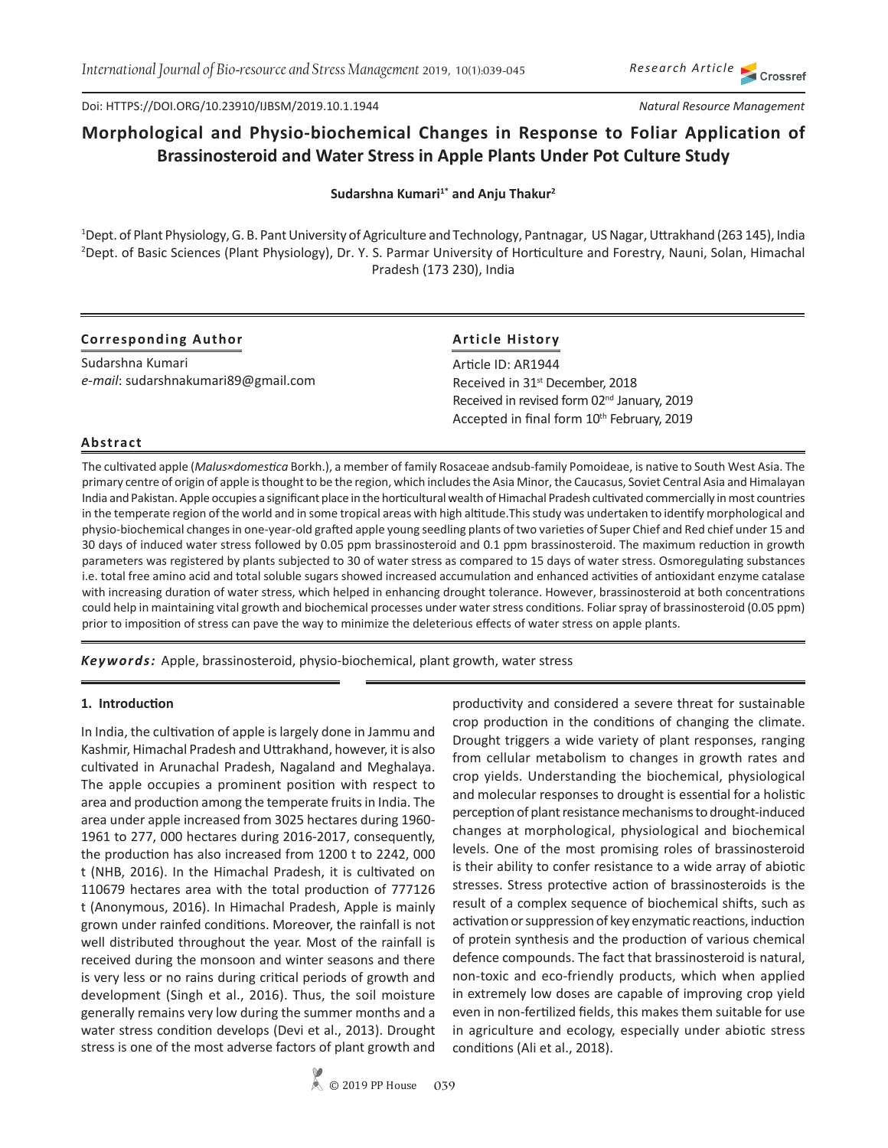*Research Article* Crossref

Doi: HTTPS://DOI.ORG/10.23910/IJBSM/2019.10.1.1944

#### *Natural Resource Management*

# **Morphological and Physio-biochemical Changes in Response to Foliar Application of Brassinosteroid and Water Stress in Apple Plants Under Pot Culture Study**

Sudarshna Kumari<sup>1\*</sup> and Anju Thakur<sup>2</sup>

1 Dept. of Plant Physiology, G. B. Pant University of Agriculture and Technology, Pantnagar, US Nagar, Uttrakhand (263 145), India 2 Dept. of Basic Sciences (Plant Physiology), Dr. Y. S. Parmar University of Horticulture and Forestry, Nauni, Solan, Himachal Pradesh (173 230), India

# **Corresponding Author**

Sudarshna Kumari *e-mail*: sudarshnakumari89@gmail.com

# **Article History**

Article ID: AR1944 Received in 31<sup>st</sup> December, 2018 Received in revised form 02<sup>nd</sup> January, 2019 Accepted in final form 10<sup>th</sup> February, 2019

# **Abstract**

The cultivated apple (*Malus×domestica* Borkh.), a member of family Rosaceae andsub-family Pomoideae, is native to South West Asia. The primary centre of origin of apple is thought to be the region, which includes the Asia Minor, the Caucasus, Soviet Central Asia and Himalayan India and Pakistan. Apple occupies a significant place in the horticultural wealth of Himachal Pradesh cultivated commercially in most countries in the temperate region of the world and in some tropical areas with high altitude.This study was undertaken to identify morphological and physio-biochemical changes in one-year-old grafted apple young seedling plants of two varieties of Super Chief and Red chief under 15 and 30 days of induced water stress followed by 0.05 ppm brassinosteroid and 0.1 ppm brassinosteroid. The maximum reduction in growth parameters was registered by plants subjected to 30 of water stress as compared to 15 days of water stress. Osmoregulating substances i.e. total free amino acid and total soluble sugars showed increased accumulation and enhanced activities of antioxidant enzyme catalase with increasing duration of water stress, which helped in enhancing drought tolerance. However, brassinosteroid at both concentrations could help in maintaining vital growth and biochemical processes under water stress conditions. Foliar spray of brassinosteroid (0.05 ppm) prior to imposition of stress can pave the way to minimize the deleterious effects of water stress on apple plants.

*Keywords:* Apple, brassinosteroid, physio-biochemical, plant growth, water stress

## **1. Introduction**

In India, the cultivation of apple is largely done in Jammu and Kashmir, Himachal Pradesh and Uttrakhand, however, it is also cultivated in Arunachal Pradesh, Nagaland and Meghalaya. The apple occupies a prominent position with respect to area and production among the temperate fruits in India. The area under apple increased from 3025 hectares during 1960- 1961 to 277, 000 hectares during 2016-2017, consequently, the production has also increased from 1200 t to 2242, 000 t (NHB, 2016). In the Himachal Pradesh, it is cultivated on 110679 hectares area with the total production of 777126 t (Anonymous, 2016). In Himachal Pradesh, Apple is mainly grown under rainfed conditions. Moreover, the rainfall is not well distributed throughout the year. Most of the rainfall is received during the monsoon and winter seasons and there is very less or no rains during critical periods of growth and development (Singh et al., 2016). Thus, the soil moisture generally remains very low during the summer months and a water stress condition develops (Devi et al., 2013). Drought stress is one of the most adverse factors of plant growth and

productivity and considered a severe threat for sustainable crop production in the conditions of changing the climate. Drought triggers a wide variety of plant responses, ranging from cellular metabolism to changes in growth rates and crop yields. Understanding the biochemical, physiological and molecular responses to drought is essential for a holistic perception of plant resistance mechanisms to drought-induced changes at morphological, physiological and biochemical levels. One of the most promising roles of brassinosteroid is their ability to confer resistance to a wide array of abiotic stresses. Stress protective action of brassinosteroids is the result of a complex sequence of biochemical shifts, such as activation or suppression of key enzymatic reactions, induction of protein synthesis and the production of various chemical defence compounds. The fact that brassinosteroid is natural, non-toxic and eco-friendly products, which when applied in extremely low doses are capable of improving crop yield even in non-fertilized fields, this makes them suitable for use in agriculture and ecology, especially under abiotic stress conditions (Ali et al., 2018).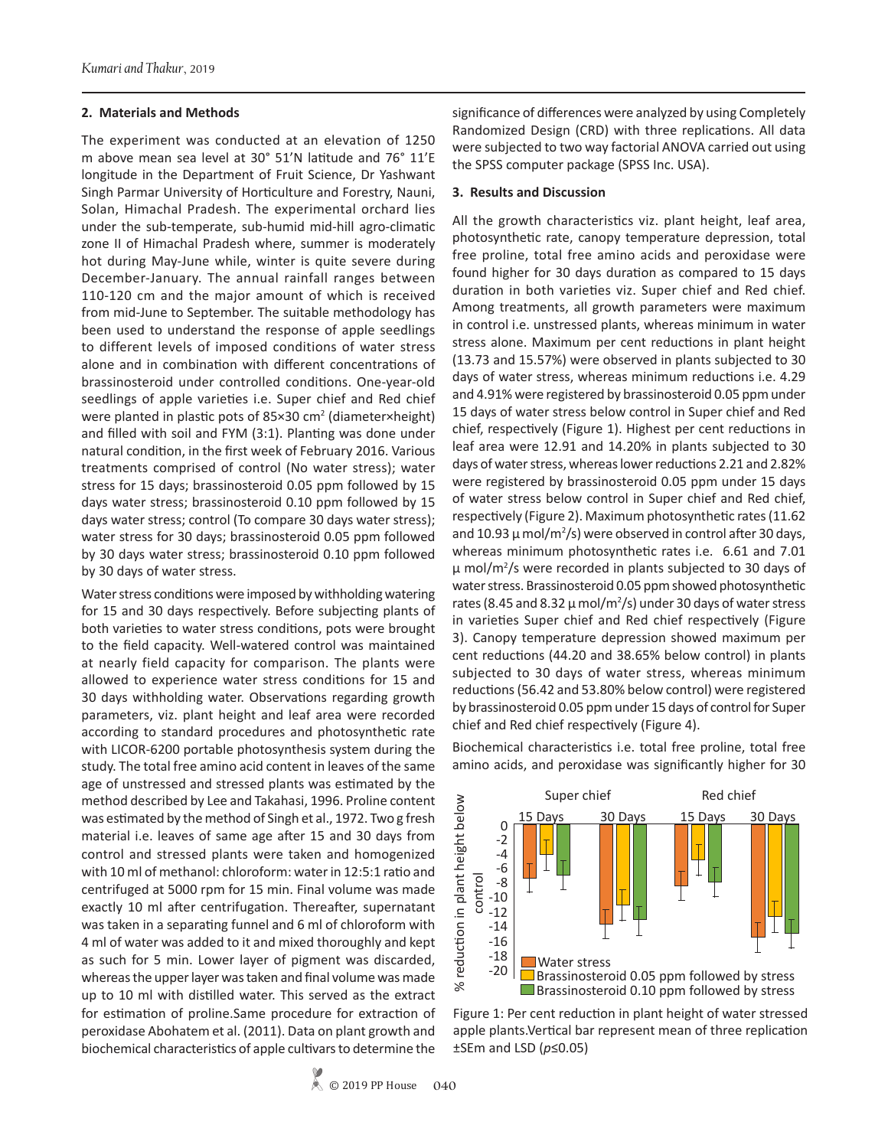#### **2. Materials and Methods**

The experiment was conducted at an elevation of 1250 m above mean sea level at 30° 51'N latitude and 76° 11'E longitude in the Department of Fruit Science, Dr Yashwant Singh Parmar University of Horticulture and Forestry, Nauni, Solan, Himachal Pradesh. The experimental orchard lies under the sub-temperate, sub-humid mid-hill agro-climatic zone II of Himachal Pradesh where, summer is moderately hot during May-June while, winter is quite severe during December-January. The annual rainfall ranges between 110-120 cm and the major amount of which is received from mid-June to September. The suitable methodology has been used to understand the response of apple seedlings to different levels of imposed conditions of water stress alone and in combination with different concentrations of brassinosteroid under controlled conditions. One-year-old seedlings of apple varieties i.e. Super chief and Red chief were planted in plastic pots of 85×30 cm<sup>2</sup> (diameter×height) and filled with soil and FYM (3:1). Planting was done under natural condition, in the first week of February 2016. Various treatments comprised of control (No water stress); water stress for 15 days; brassinosteroid 0.05 ppm followed by 15 days water stress; brassinosteroid 0.10 ppm followed by 15 days water stress; control (To compare 30 days water stress); water stress for 30 days; brassinosteroid 0.05 ppm followed by 30 days water stress; brassinosteroid 0.10 ppm followed by 30 days of water stress.

Water stress conditions were imposed by withholding watering for 15 and 30 days respectively. Before subjecting plants of both varieties to water stress conditions, pots were brought to the field capacity. Well-watered control was maintained at nearly field capacity for comparison. The plants were allowed to experience water stress conditions for 15 and 30 days withholding water. Observations regarding growth parameters, viz. plant height and leaf area were recorded according to standard procedures and photosynthetic rate with LICOR-6200 portable photosynthesis system during the study. The total free amino acid content in leaves of the same age of unstressed and stressed plants was estimated by the method described by Lee and Takahasi, 1996. Proline content was estimated by the method of Singh et al., 1972. Two g fresh material i.e. leaves of same age after 15 and 30 days from control and stressed plants were taken and homogenized with 10 ml of methanol: chloroform: water in 12:5:1 ratio and centrifuged at 5000 rpm for 15 min. Final volume was made exactly 10 ml after centrifugation. Thereafter, supernatant was taken in a separating funnel and 6 ml of chloroform with 4 ml of water was added to it and mixed thoroughly and kept as such for 5 min. Lower layer of pigment was discarded, whereas the upper layer was taken and final volume was made up to 10 ml with distilled water. This served as the extract for estimation of proline.Same procedure for extraction of peroxidase Abohatem et al. (2011). Data on plant growth and biochemical characteristics of apple cultivars to determine the

significance of differences were analyzed by using Completely Randomized Design (CRD) with three replications. All data were subjected to two way factorial ANOVA carried out using the SPSS computer package (SPSS Inc. USA).

#### **3. Results and Discussion**

All the growth characteristics viz. plant height, leaf area, photosynthetic rate, canopy temperature depression, total free proline, total free amino acids and peroxidase were found higher for 30 days duration as compared to 15 days duration in both varieties viz. Super chief and Red chief. Among treatments, all growth parameters were maximum in control i.e. unstressed plants, whereas minimum in water stress alone. Maximum per cent reductions in plant height (13.73 and 15.57%) were observed in plants subjected to 30 days of water stress, whereas minimum reductions i.e. 4.29 and 4.91% were registered by brassinosteroid 0.05 ppm under 15 days of water stress below control in Super chief and Red chief, respectively (Figure 1). Highest per cent reductions in leaf area were 12.91 and 14.20% in plants subjected to 30 days of water stress, whereas lower reductions 2.21 and 2.82% were registered by brassinosteroid 0.05 ppm under 15 days of water stress below control in Super chief and Red chief, respectively (Figure 2). Maximum photosynthetic rates (11.62 and 10.93  $\mu$  mol/m<sup>2</sup>/s) were observed in control after 30 days, whereas minimum photosynthetic rates i.e. 6.61 and 7.01  $\mu$  mol/m<sup>2</sup>/s were recorded in plants subjected to 30 days of water stress. Brassinosteroid 0.05 ppm showed photosynthetic rates (8.45 and 8.32  $\mu$  mol/m<sup>2</sup>/s) under 30 days of water stress in varieties Super chief and Red chief respectively (Figure 3). Canopy temperature depression showed maximum per cent reductions (44.20 and 38.65% below control) in plants subjected to 30 days of water stress, whereas minimum reductions (56.42 and 53.80% below control) were registered by brassinosteroid 0.05 ppm under 15 days of control for Super chief and Red chief respectively (Figure 4).

Biochemical characteristics i.e. total free proline, total free amino acids, and peroxidase was significantly higher for 30



Figure 1: Per cent reduction in plant height of water stressed apple plants.Vertical bar represent mean of three replication ±SEm and LSD (*p*≤0.05)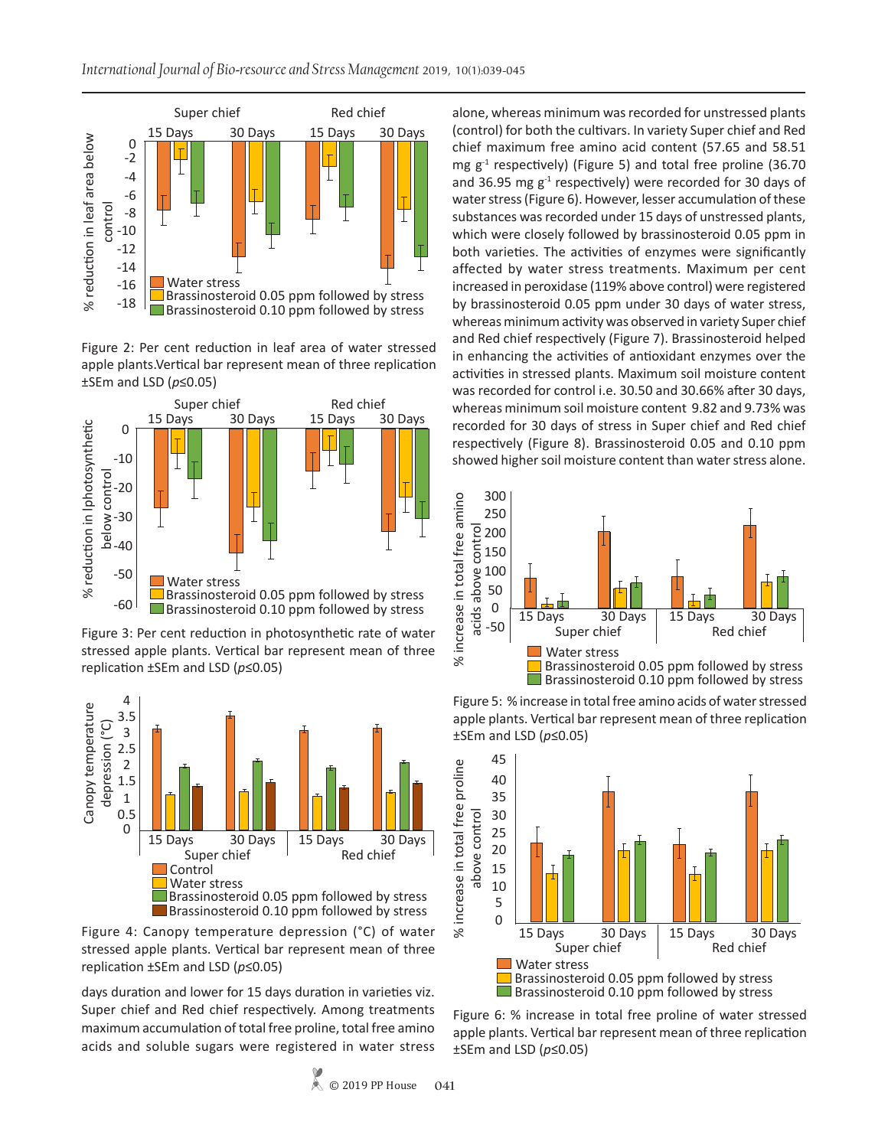

Figure 2: Per cent reduction in leaf area of water stressed apple plants.Vertical bar represent mean of three replication ±SEm and LSD (*p*≤0.05)



Figure 3: Per cent reduction in photosynthetic rate of water stressed apple plants. Vertical bar represent mean of three replication ±SEm and LSD (*p*≤0.05)



Figure 4: Canopy temperature depression (°C) of water stressed apple plants. Vertical bar represent mean of three replication ±SEm and LSD (*p*≤0.05)

days duration and lower for 15 days duration in varieties viz. Super chief and Red chief respectively. Among treatments maximum accumulation of total free proline, total free amino acids and soluble sugars were registered in water stress

alone, whereas minimum was recorded for unstressed plants (control) for both the cultivars. In variety Super chief and Red chief maximum free amino acid content (57.65 and 58.51 mg  $g^{-1}$  respectively) (Figure 5) and total free proline (36.70 and 36.95 mg  $g^{-1}$  respectively) were recorded for 30 days of water stress (Figure 6). However, lesser accumulation of these substances was recorded under 15 days of unstressed plants, which were closely followed by brassinosteroid 0.05 ppm in both varieties. The activities of enzymes were significantly affected by water stress treatments. Maximum per cent increased in peroxidase (119% above control) were registered by brassinosteroid 0.05 ppm under 30 days of water stress, whereas minimum activity was observed in variety Super chief and Red chief respectively (Figure 7). Brassinosteroid helped in enhancing the activities of antioxidant enzymes over the activities in stressed plants. Maximum soil moisture content was recorded for control i.e. 30.50 and 30.66% after 30 days, whereas minimum soil moisture content 9.82 and 9.73% was recorded for 30 days of stress in Super chief and Red chief respectively (Figure 8). Brassinosteroid 0.05 and 0.10 ppm showed higher soil moisture content than water stress alone.



Figure 5: % increase in total free amino acids of water stressed apple plants. Vertical bar represent mean of three replication ±SEm and LSD (*p*≤0.05)



Figure 6: % increase in total free proline of water stressed apple plants. Vertical bar represent mean of three replication ±SEm and LSD (*p*≤0.05)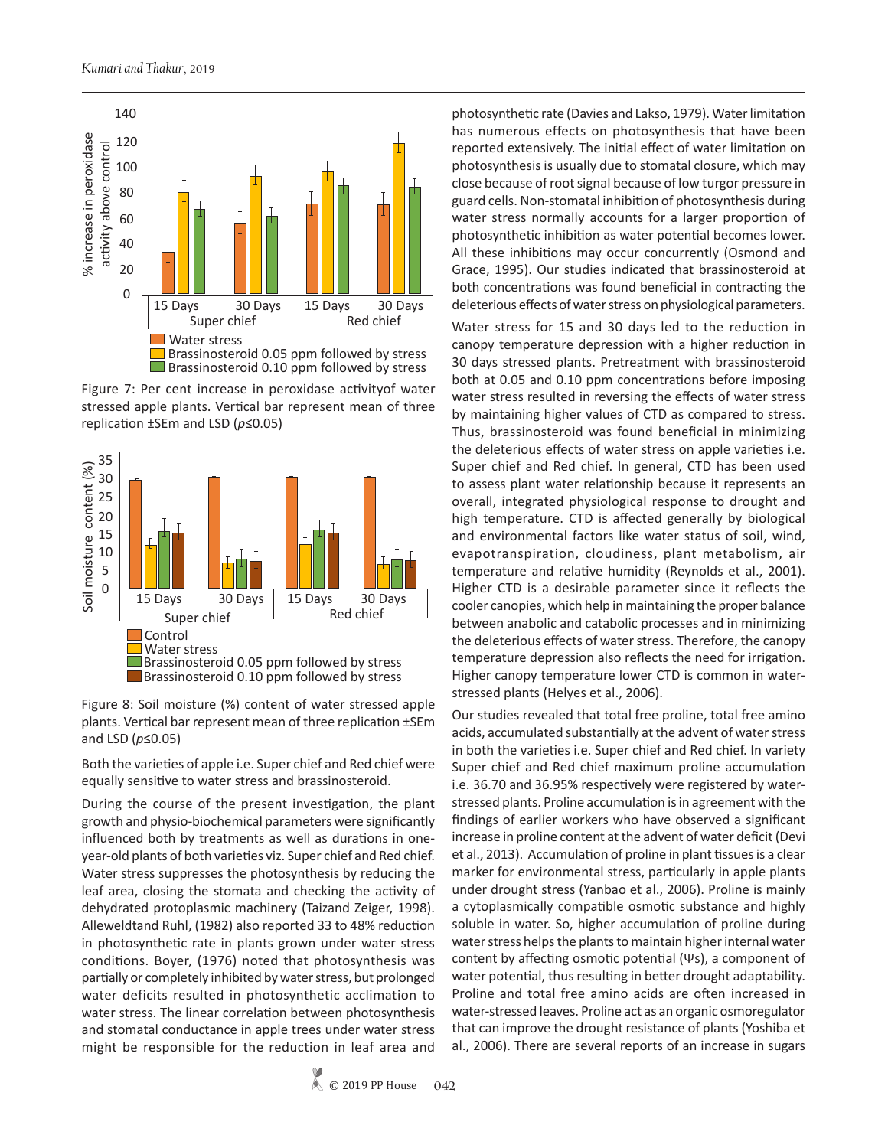

Figure 7: Per cent increase in peroxidase activityof water stressed apple plants. Vertical bar represent mean of three replication ±SEm and LSD (*p*≤0.05)



Figure 8: Soil moisture (%) content of water stressed apple plants. Vertical bar represent mean of three replication ±SEm and LSD  $(p \le 0.05)$ 

Both the varieties of apple i.e. Super chief and Red chief were equally sensitive to water stress and brassinosteroid.

During the course of the present investigation, the plant growth and physio-biochemical parameters were significantly influenced both by treatments as well as durations in oneyear-old plants of both varieties viz. Super chief and Red chief. Water stress suppresses the photosynthesis by reducing the leaf area, closing the stomata and checking the activity of dehydrated protoplasmic machinery (Taizand Zeiger, 1998). Alleweldtand Ruhl, (1982) also reported 33 to 48% reduction in photosynthetic rate in plants grown under water stress conditions. Boyer, (1976) noted that photosynthesis was partially or completely inhibited by water stress, but prolonged water deficits resulted in photosynthetic acclimation to water stress. The linear correlation between photosynthesis and stomatal conductance in apple trees under water stress might be responsible for the reduction in leaf area and

photosynthetic rate (Davies and Lakso, 1979). Water limitation has numerous effects on photosynthesis that have been reported extensively. The initial effect of water limitation on photosynthesis is usually due to stomatal closure, which may close because of root signal because of low turgor pressure in guard cells. Non-stomatal inhibition of photosynthesis during water stress normally accounts for a larger proportion of photosynthetic inhibition as water potential becomes lower. All these inhibitions may occur concurrently (Osmond and Grace, 1995). Our studies indicated that brassinosteroid at both concentrations was found beneficial in contracting the deleterious effects of water stress on physiological parameters.

Water stress for 15 and 30 days led to the reduction in canopy temperature depression with a higher reduction in 30 days stressed plants. Pretreatment with brassinosteroid both at 0.05 and 0.10 ppm concentrations before imposing water stress resulted in reversing the effects of water stress by maintaining higher values of CTD as compared to stress. Thus, brassinosteroid was found beneficial in minimizing the deleterious effects of water stress on apple varieties i.e. Super chief and Red chief. In general, CTD has been used to assess plant water relationship because it represents an overall, integrated physiological response to drought and high temperature. CTD is affected generally by biological and environmental factors like water status of soil, wind, evapotranspiration, cloudiness, plant metabolism, air temperature and relative humidity (Reynolds et al., 2001). Higher CTD is a desirable parameter since it reflects the cooler canopies, which help in maintaining the proper balance between anabolic and catabolic processes and in minimizing the deleterious effects of water stress. Therefore, the canopy temperature depression also reflects the need for irrigation. Higher canopy temperature lower CTD is common in waterstressed plants (Helyes et al., 2006).

Our studies revealed that total free proline, total free amino acids, accumulated substantially at the advent of water stress in both the varieties i.e. Super chief and Red chief. In variety Super chief and Red chief maximum proline accumulation i.e. 36.70 and 36.95% respectively were registered by waterstressed plants. Proline accumulation is in agreement with the findings of earlier workers who have observed a significant increase in proline content at the advent of water deficit (Devi et al., 2013). Accumulation of proline in plant tissues is a clear marker for environmental stress, particularly in apple plants under drought stress (Yanbao et al., 2006). Proline is mainly a cytoplasmically compatible osmotic substance and highly soluble in water. So, higher accumulation of proline during water stress helps the plants to maintain higher internal water content by affecting osmotic potential (Ψs), a component of water potential, thus resulting in better drought adaptability. Proline and total free amino acids are often increased in water-stressed leaves. Proline act as an organic osmoregulator that can improve the drought resistance of plants (Yoshiba et al., 2006). There are several reports of an increase in sugars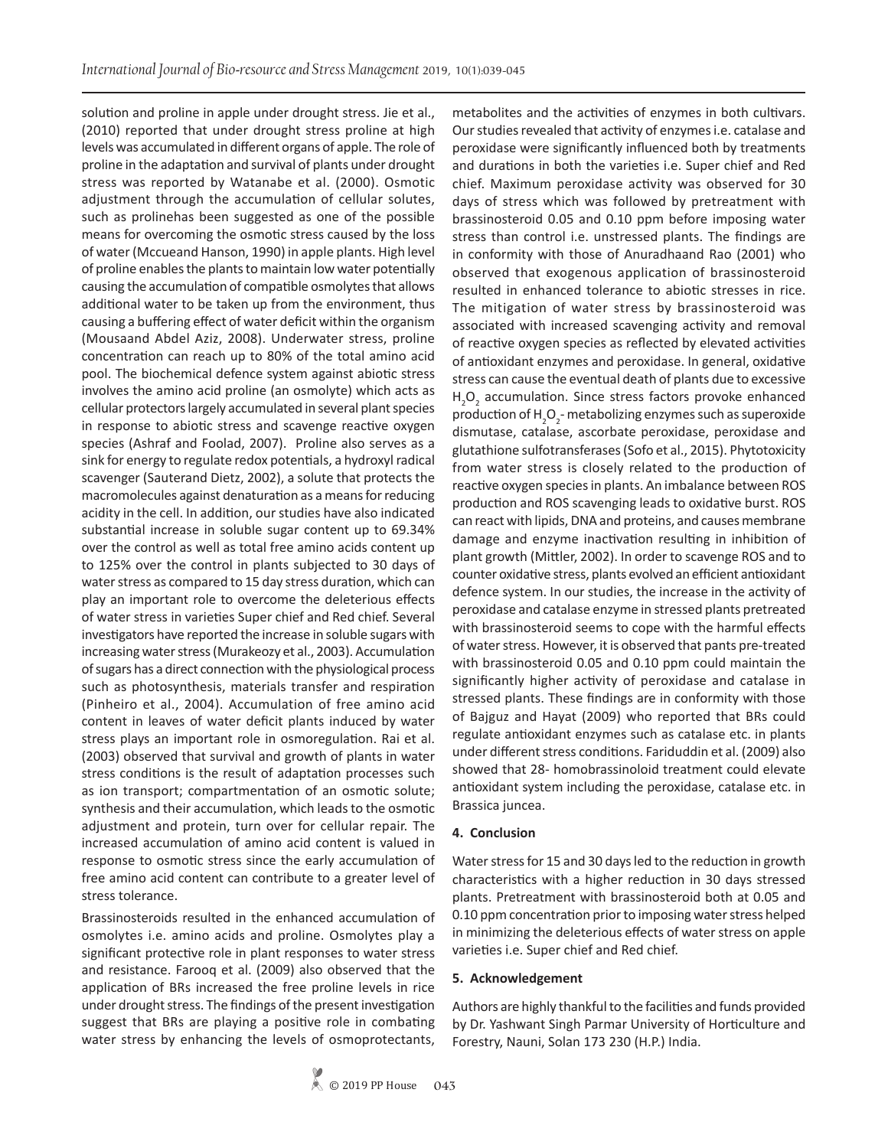solution and proline in apple under drought stress. Jie et al., (2010) reported that under drought stress proline at high levels was accumulated in different organs of apple. The role of proline in the adaptation and survival of plants under drought stress was reported by Watanabe et al. (2000). Osmotic adjustment through the accumulation of cellular solutes, such as prolinehas been suggested as one of the possible means for overcoming the osmotic stress caused by the loss of water (Mccueand Hanson, 1990) in apple plants. High level of proline enables the plants to maintain low water potentially causing the accumulation of compatible osmolytes that allows additional water to be taken up from the environment, thus causing a buffering effect of water deficit within the organism (Mousaand Abdel Aziz, 2008). Underwater stress, proline concentration can reach up to 80% of the total amino acid pool. The biochemical defence system against abiotic stress involves the amino acid proline (an osmolyte) which acts as cellular protectors largely accumulated in several plant species in response to abiotic stress and scavenge reactive oxygen species (Ashraf and Foolad, 2007). Proline also serves as a sink for energy to regulate redox potentials, a hydroxyl radical scavenger (Sauterand Dietz, 2002), a solute that protects the macromolecules against denaturation as a means for reducing acidity in the cell. In addition, our studies have also indicated substantial increase in soluble sugar content up to 69.34% over the control as well as total free amino acids content up to 125% over the control in plants subjected to 30 days of water stress as compared to 15 day stress duration, which can play an important role to overcome the deleterious effects of water stress in varieties Super chief and Red chief. Several investigators have reported the increase in soluble sugars with increasing water stress (Murakeozy et al., 2003). Accumulation of sugars has a direct connection with the physiological process such as photosynthesis, materials transfer and respiration (Pinheiro et al., 2004). Accumulation of free amino acid content in leaves of water deficit plants induced by water stress plays an important role in osmoregulation. Rai et al. (2003) observed that survival and growth of plants in water stress conditions is the result of adaptation processes such as ion transport; compartmentation of an osmotic solute; synthesis and their accumulation, which leads to the osmotic adjustment and protein, turn over for cellular repair. The increased accumulation of amino acid content is valued in response to osmotic stress since the early accumulation of free amino acid content can contribute to a greater level of stress tolerance.

Brassinosteroids resulted in the enhanced accumulation of osmolytes i.e. amino acids and proline. Osmolytes play a significant protective role in plant responses to water stress and resistance. Farooq et al. (2009) also observed that the application of BRs increased the free proline levels in rice under drought stress. The findings of the present investigation suggest that BRs are playing a positive role in combating water stress by enhancing the levels of osmoprotectants,

metabolites and the activities of enzymes in both cultivars. Our studies revealed that activity of enzymes i.e. catalase and peroxidase were significantly influenced both by treatments and durations in both the varieties i.e. Super chief and Red chief. Maximum peroxidase activity was observed for 30 days of stress which was followed by pretreatment with brassinosteroid 0.05 and 0.10 ppm before imposing water stress than control i.e. unstressed plants. The findings are in conformity with those of Anuradhaand Rao (2001) who observed that exogenous application of brassinosteroid resulted in enhanced tolerance to abiotic stresses in rice. The mitigation of water stress by brassinosteroid was associated with increased scavenging activity and removal of reactive oxygen species as reflected by elevated activities of antioxidant enzymes and peroxidase. In general, oxidative stress can cause the eventual death of plants due to excessive H<sub>2</sub>O<sub>2</sub> accumulation. Since stress factors provoke enhanced production of  $H_2O_2$ - metabolizing enzymes such as superoxide dismutase, catalase, ascorbate peroxidase, peroxidase and glutathione sulfotransferases (Sofo et al., 2015). Phytotoxicity from water stress is closely related to the production of reactive oxygen species in plants. An imbalance between ROS production and ROS scavenging leads to oxidative burst. ROS can react with lipids, DNA and proteins, and causes membrane damage and enzyme inactivation resulting in inhibition of plant growth (Mittler, 2002). In order to scavenge ROS and to counter oxidative stress, plants evolved an efficient antioxidant defence system. In our studies, the increase in the activity of peroxidase and catalase enzyme in stressed plants pretreated with brassinosteroid seems to cope with the harmful effects of water stress. However, it is observed that pants pre-treated with brassinosteroid 0.05 and 0.10 ppm could maintain the significantly higher activity of peroxidase and catalase in stressed plants. These findings are in conformity with those of Bajguz and Hayat (2009) who reported that BRs could regulate antioxidant enzymes such as catalase etc. in plants under different stress conditions. Fariduddin et al. (2009) also showed that 28- homobrassinoloid treatment could elevate antioxidant system including the peroxidase, catalase etc. in Brassica juncea.

## **4. Conclusion**

Water stress for 15 and 30 days led to the reduction in growth characteristics with a higher reduction in 30 days stressed plants. Pretreatment with brassinosteroid both at 0.05 and 0.10 ppm concentration prior to imposing water stress helped in minimizing the deleterious effects of water stress on apple varieties i.e. Super chief and Red chief.

## **5. Acknowledgement**

Authors are highly thankful to the facilities and funds provided by Dr. Yashwant Singh Parmar University of Horticulture and Forestry, Nauni, Solan 173 230 (H.P.) India.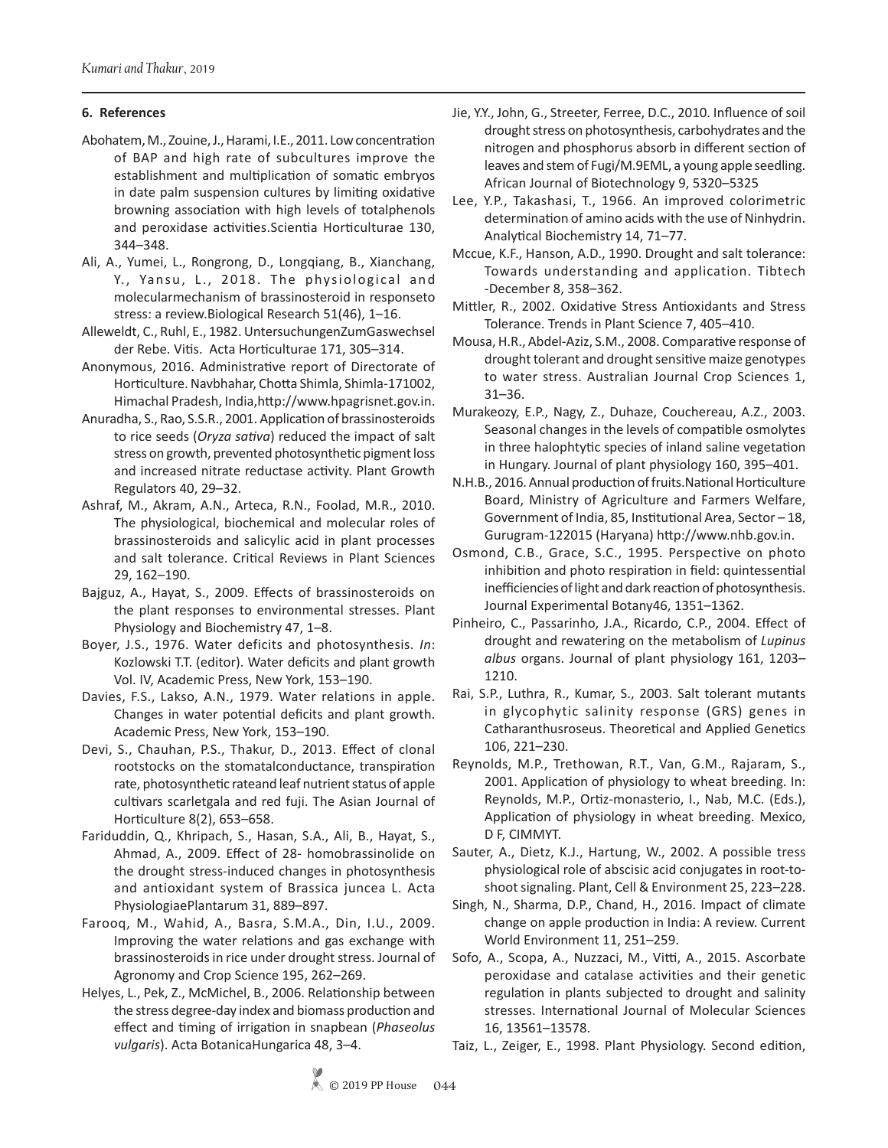## **6. References**

- Abohatem, M., Zouine, J., Harami, I.E., 2011. Low concentration of BAP and high rate of subcultures improve the establishment and multiplication of somatic embryos in date palm suspension cultures by limiting oxidative browning association with high levels of totalphenols and peroxidase activities.Scientia Horticulturae 130, 344–348.
- Ali, A., Yumei, L., Rongrong, D., Longqiang, B., Xianchang, Y., Yansu, L., 2018. The physiological and molecularmechanism of brassinosteroid in responseto stress: a review.Biological Research 51(46), 1–16.
- Alleweldt, C., Ruhl, E., 1982. UntersuchungenZumGaswechsel der Rebe. Vitis. Acta Horticulturae 171, 305–314.
- Anonymous, 2016. Administrative report of Directorate of Horticulture. Navbhahar, Chotta Shimla, Shimla-171002, Himachal Pradesh, India,http://www.hpagrisnet.gov.in.
- Anuradha, S., Rao, S.S.R., 2001. Application of brassinosteroids to rice seeds (*Oryza sativa*) reduced the impact of salt stress on growth, prevented photosynthetic pigment loss and increased nitrate reductase activity. Plant Growth Regulators 40, 29–32.
- Ashraf, M., Akram, A.N., Arteca, R.N., Foolad, M.R., 2010. The physiological, biochemical and molecular roles of brassinosteroids and salicylic acid in plant processes and salt tolerance. Critical Reviews in Plant Sciences 29, 162–190.
- Bajguz, A., Hayat, S., 2009. Effects of brassinosteroids on the plant responses to environmental stresses. Plant Physiology and Biochemistry 47, 1–8.
- Boyer, J.S., 1976. Water deficits and photosynthesis. *In*: Kozlowski T.T. (editor). Water deficits and plant growth Vol. IV, Academic Press, New York, 153–190.
- Davies, F.S., Lakso, A.N., 1979. Water relations in apple. Changes in water potential deficits and plant growth. Academic Press, New York, 153–190.
- Devi, S., Chauhan, P.S., Thakur, D., 2013. Effect of clonal rootstocks on the stomatalconductance, transpiration rate, photosynthetic rateand leaf nutrient status of apple cultivars scarletgala and red fuji. The Asian Journal of Horticulture 8(2), 653–658.
- Fariduddin, Q., Khripach, S., Hasan, S.A., Ali, B., Hayat, S., Ahmad, A., 2009. Effect of 28- homobrassinolide on the drought stress-induced changes in photosynthesis and antioxidant system of Brassica juncea L. Acta PhysiologiaePlantarum 31, 889–897.
- Farooq, M., Wahid, A., Basra, S.M.A., Din, I.U., 2009. Improving the water relations and gas exchange with brassinosteroids in rice under drought stress. Journal of Agronomy and Crop Science 195, 262–269.
- Helyes, L., Pek, Z., McMichel, B., 2006. Relationship between the stress degree-day index and biomass production and effect and timing of irrigation in snapbean (*Phaseolus vulgaris*). Acta BotanicaHungarica 48, 3–4.
- Jie, Y.Y., John, G., Streeter, Ferree, D.C., 2010. Influence of soil drought stress on photosynthesis, carbohydrates and the nitrogen and phosphorus absorb in different section of leaves and stem of Fugi/M.9EML, a young apple seedling. African Journal of Biotechnology 9, 5320–5325.
- Lee, Y.P., Takashasi, T., 1966. An improved colorimetric determination of amino acids with the use of Ninhydrin. Analytical Biochemistry 14, 71–77.
- Mccue, K.F., Hanson, A.D., 1990. Drought and salt tolerance: Towards understanding and application. Tibtech -December 8, 358–362.
- Mittler, R., 2002. Oxidative Stress Antioxidants and Stress Tolerance. Trends in Plant Science 7, 405–410.
- Mousa, H.R., Abdel-Aziz, S.M., 2008. Comparative response of drought tolerant and drought sensitive maize genotypes to water stress. Australian Journal Crop Sciences 1, 31–36.
- Murakeozy, E.P., Nagy, Z., Duhaze, Couchereau, A.Z., 2003. Seasonal changes in the levels of compatible osmolytes in three halophtytic species of inland saline vegetation in Hungary. Journal of plant physiology 160, 395–401.
- N.H.B., 2016. Annual production of fruits.National Horticulture Board, Ministry of Agriculture and Farmers Welfare, Government of India, 85, Institutional Area, Sector – 18, Gurugram-122015 (Haryana) http://www.nhb.gov.in.
- Osmond, C.B., Grace, S.C., 1995. Perspective on photo inhibition and photo respiration in field: quintessential inefficiencies of light and dark reaction of photosynthesis. Journal Experimental Botany46, 1351–1362.
- Pinheiro, C., Passarinho, J.A., Ricardo, C.P., 2004. Effect of drought and rewatering on the metabolism of *Lupinus albus* organs. Journal of plant physiology 161, 1203– 1210.
- Rai, S.P., Luthra, R., Kumar, S., 2003. Salt tolerant mutants in glycophytic salinity response (GRS) genes in Catharanthusroseus. Theoretical and Applied Genetics 106, 221–230.
- Reynolds, M.P., Trethowan, R.T., Van, G.M., Rajaram, S., 2001. Application of physiology to wheat breeding. In: Reynolds, M.P., Ortiz-monasterio, I., Nab, M.C. (Eds.), Application of physiology in wheat breeding. Mexico, D F, CIMMYT.
- Sauter, A., Dietz, K.J., Hartung, W., 2002. A possible tress physiological role of abscisic acid conjugates in root-toshoot signaling. Plant, Cell & Environment 25, 223–228.
- Singh, N., Sharma, D.P., Chand, H., 2016. Impact of climate change on apple production in India: A review. Current World Environment 11, 251–259.
- Sofo, A., Scopa, A., Nuzzaci, M., Vitti, A., 2015. Ascorbate peroxidase and catalase activities and their genetic regulation in plants subjected to drought and salinity stresses. International Journal of Molecular Sciences 16, 13561–13578.
- Taiz, L., Zeiger, E., 1998. Plant Physiology. Second edition,